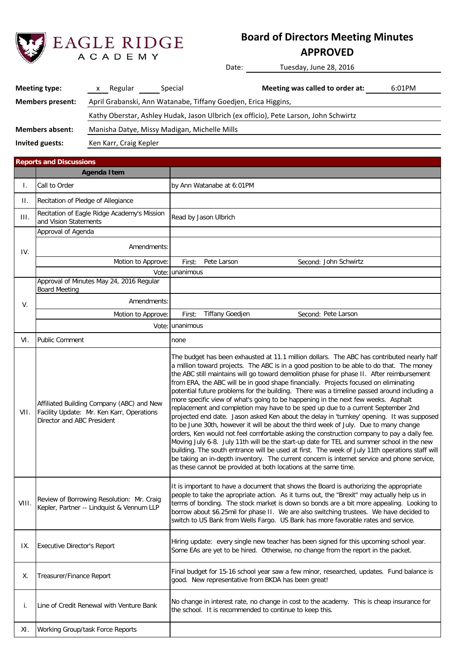

# **Board of Directors Meeting Minutes**

**APPROVED**

Date: Tuesday, June 28, 2016

| <b>Meeting type:</b>    | Regular                                                        | Special | Meeting was called to order at:                                                      | 6:01PM |  |  |
|-------------------------|----------------------------------------------------------------|---------|--------------------------------------------------------------------------------------|--------|--|--|
| <b>Members present:</b> | April Grabanski, Ann Watanabe, Tiffany Goedjen, Erica Higgins, |         |                                                                                      |        |  |  |
|                         |                                                                |         | Kathy Oberstar, Ashley Hudak, Jason Ulbrich (ex officio), Pete Larson, John Schwirtz |        |  |  |
| <b>Members absent:</b>  | Manisha Datye, Missy Madigan, Michelle Mills                   |         |                                                                                      |        |  |  |
| Invited guests:         | Ken Karr, Craig Kepler                                         |         |                                                                                      |        |  |  |

First: Pete Larson and Second: Vote: unanimous Amendments: Motion to Approve: First: Tiffany Goedjen Vote: unanimous Executive Director's Report i. Line of Credit Renewal with Venture Bank No change in interest rate, no change in cost to the academy. This is cheap insurance for the school. It is recommended to continue to keep this. Read by Jason Ulbrich Approval of Agenda Amendments: by Ann Watanabe at 6:01PM none Approval of Minutes May 24, 2016 Regular Board Meeting **Reports and Discussions** II. I. **Agenda Item** Call to Order Recitation of Eagle Ridge Academy's Mission **III.** Recitation of Eagle Ridgensing and Vision Statements Recitation of Pledge of Allegiance IV. V. Second: Pete Larson XI. Motion to Approve: VI. Final budget for 15-16 school year saw a few minor, researched, updates. Fund balance is Treasurer/Finance Report decrees and good. New representative from BKDA has been great! Second: John Schwirtz VII. X. Public Comment Affiliated Building Company (ABC) and New Facility Update: Mr. Ken Karr, Operations Director and ABC President IX. VIII. Review of Borrowing Resolution: Mr. Craig Kepler, Partner -- Lindquist & Vennum LLP Working Group/task Force Reports The budget has been exhausted at 11.1 million dollars. The ABC has contributed nearly half a million toward projects. The ABC is in a good position to be able to do that. The money the ABC still maintains will go toward demolition phase for phase II. After reimbursement from ERA, the ABC will be in good shape financially. Projects focused on eliminating potential future problems for the building. There was a timeline passed around including a more specific view of what's going to be happening in the next few weeks. Asphalt replacement and completion may have to be sped up due to a current September 2nd projected end date. Jason asked Ken about the delay in 'turnkey' opening. It was supposed to be June 30th, however it will be about the third week of July. Due to many change orders, Ken would not feel comfortable asking the construction company to pay a daily fee. Moving July 6-8. July 11th will be the start-up date for TEL and summer school in the new building. The south entrance will be used at first. The week of July 11th operations staff will be taking an in-depth inventory. The current concern is internet service and phone service, as these cannot be provided at both locations at the same time. Hiring update: every single new teacher has been signed for this upcoming school year. Some EAs are yet to be hired. Otherwise, no change from the report in the packet. It is important to have a document that shows the Board is authorizing the appropriate people to take the apropriate action. As it turns out, the "Brexit" may actually help us in terms of bonding. The stock market is down so bonds are a bit more appealing. Looking to borrow about \$6.25mil for phase II. We are also switching trustees. We have decided to switch to US Bank from Wells Fargo. US Bank has more favorable rates and service.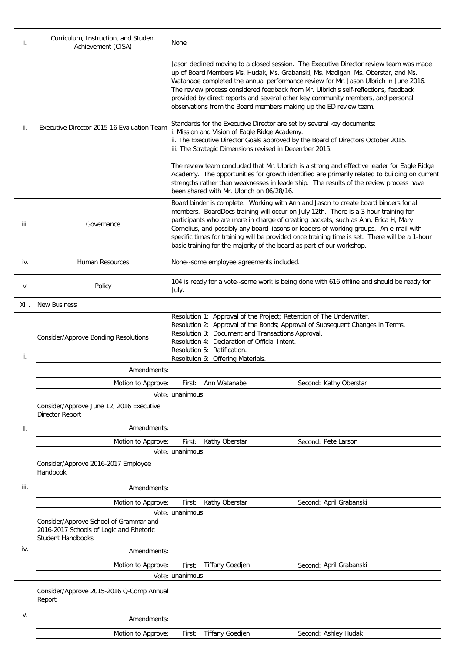| i.   | Curriculum, Instruction, and Student<br>Achievement (CISA)          | None                                                                                                                                                                                                                                                                                                                                                                                                                                                                                                                                    |  |  |  |  |  |
|------|---------------------------------------------------------------------|-----------------------------------------------------------------------------------------------------------------------------------------------------------------------------------------------------------------------------------------------------------------------------------------------------------------------------------------------------------------------------------------------------------------------------------------------------------------------------------------------------------------------------------------|--|--|--|--|--|
|      |                                                                     | Jason declined moving to a closed session. The Executive Director review team was made<br>up of Board Members Ms. Hudak, Ms. Grabanski, Ms. Madigan, Ms. Oberstar, and Ms.<br>Watanabe completed the annual performance review for Mr. Jason Ulbrich in June 2016.<br>The review process considered feedback from Mr. Ulbrich's self-reflections, feedback<br>provided by direct reports and several other key community members, and personal<br>observations from the Board members making up the ED review team.                     |  |  |  |  |  |
| ii.  | Executive Director 2015-16 Evaluation Team                          | Standards for the Executive Director are set by several key documents:<br>i. Mission and Vision of Eagle Ridge Academy.<br>ii. The Executive Director Goals approved by the Board of Directors October 2015.<br>iii. The Strategic Dimensions revised in December 2015.                                                                                                                                                                                                                                                                 |  |  |  |  |  |
|      |                                                                     | The review team concluded that Mr. Ulbrich is a strong and effective leader for Eagle Ridge<br>Academy. The opportunities for growth identified are primarily related to building on current<br>strengths rather than weaknesses in leadership. The results of the review process have<br>been shared with Mr. Ulbrich on 06/28/16.                                                                                                                                                                                                     |  |  |  |  |  |
| iii. | Governance                                                          | Board binder is complete. Working with Ann and Jason to create board binders for all<br>members. BoardDocs training will occur on July 12th. There is a 3 hour training for<br>participants who are more in charge of creating packets, such as Ann, Erica H, Mary<br>Cornelius, and possibly any board liasons or leaders of working groups. An e-mail with<br>specific times for training will be provided once training time is set. There will be a 1-hour<br>basic training for the majority of the board as part of our workshop. |  |  |  |  |  |
| iv.  | Human Resources                                                     | None--some employee agreements included.                                                                                                                                                                                                                                                                                                                                                                                                                                                                                                |  |  |  |  |  |
| V.   | Policy                                                              | 104 is ready for a vote--some work is being done with 616 offline and should be ready for<br>July.                                                                                                                                                                                                                                                                                                                                                                                                                                      |  |  |  |  |  |
| XII. | <b>New Business</b>                                                 |                                                                                                                                                                                                                                                                                                                                                                                                                                                                                                                                         |  |  |  |  |  |
| İ.   | <b>Consider/Approve Bonding Resolutions</b>                         | Resolution 1: Approval of the Project; Retention of The Underwriter.<br>Resolution 2: Approval of the Bonds; Approval of Subsequent Changes in Terms.<br>Resolution 3: Document and Transactions Approval.<br>Resolution 4: Declaration of Official Intent.<br>Resolution 5: Ratification.<br>Resoltuion 6: Offering Materials.                                                                                                                                                                                                         |  |  |  |  |  |
|      | Amendments:                                                         |                                                                                                                                                                                                                                                                                                                                                                                                                                                                                                                                         |  |  |  |  |  |
|      | Motion to Approve:                                                  | Ann Watanabe<br>Second: Kathy Oberstar<br>First:                                                                                                                                                                                                                                                                                                                                                                                                                                                                                        |  |  |  |  |  |
|      |                                                                     | Vote: unanimous                                                                                                                                                                                                                                                                                                                                                                                                                                                                                                                         |  |  |  |  |  |
|      | Consider/Approve June 12, 2016 Executive<br>Director Report         |                                                                                                                                                                                                                                                                                                                                                                                                                                                                                                                                         |  |  |  |  |  |
| ii.  | Amendments:                                                         |                                                                                                                                                                                                                                                                                                                                                                                                                                                                                                                                         |  |  |  |  |  |
|      | Motion to Approve:                                                  | Kathy Oberstar<br>Second: Pete Larson<br>First:                                                                                                                                                                                                                                                                                                                                                                                                                                                                                         |  |  |  |  |  |
|      | Vote:                                                               | unanimous                                                                                                                                                                                                                                                                                                                                                                                                                                                                                                                               |  |  |  |  |  |
|      | Consider/Approve 2016-2017 Employee<br>Handbook                     |                                                                                                                                                                                                                                                                                                                                                                                                                                                                                                                                         |  |  |  |  |  |
| iii. | Amendments:                                                         |                                                                                                                                                                                                                                                                                                                                                                                                                                                                                                                                         |  |  |  |  |  |
|      | Motion to Approve:                                                  | Kathy Oberstar<br>Second: April Grabanski<br>First:                                                                                                                                                                                                                                                                                                                                                                                                                                                                                     |  |  |  |  |  |
|      | Consider/Approve School of Grammar and                              | Vote: unanimous                                                                                                                                                                                                                                                                                                                                                                                                                                                                                                                         |  |  |  |  |  |
|      | 2016-2017 Schools of Logic and Rhetoric<br><b>Student Handbooks</b> |                                                                                                                                                                                                                                                                                                                                                                                                                                                                                                                                         |  |  |  |  |  |
| iv.  | Amendments:                                                         |                                                                                                                                                                                                                                                                                                                                                                                                                                                                                                                                         |  |  |  |  |  |
|      | Motion to Approve:                                                  | <b>Tiffany Goedjen</b><br>Second: April Grabanski<br>First:                                                                                                                                                                                                                                                                                                                                                                                                                                                                             |  |  |  |  |  |
|      | Vote:                                                               | unanimous                                                                                                                                                                                                                                                                                                                                                                                                                                                                                                                               |  |  |  |  |  |
|      | Consider/Approve 2015-2016 Q-Comp Annual<br>Report                  |                                                                                                                                                                                                                                                                                                                                                                                                                                                                                                                                         |  |  |  |  |  |
| v.   | Amendments:                                                         |                                                                                                                                                                                                                                                                                                                                                                                                                                                                                                                                         |  |  |  |  |  |
|      | Motion to Approve:                                                  | <b>Tiffany Goedjen</b><br>Second: Ashley Hudak<br>First:                                                                                                                                                                                                                                                                                                                                                                                                                                                                                |  |  |  |  |  |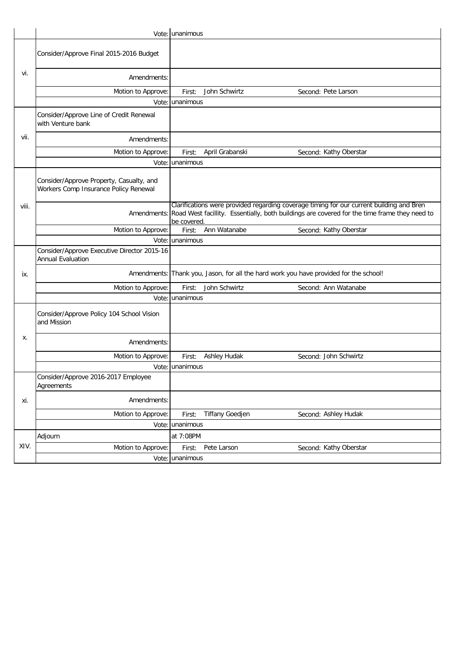|       |                                                                                   | Vote: unanimous |                        |                                                                                                                                                                                                      |
|-------|-----------------------------------------------------------------------------------|-----------------|------------------------|------------------------------------------------------------------------------------------------------------------------------------------------------------------------------------------------------|
|       | Consider/Approve Final 2015-2016 Budget                                           |                 |                        |                                                                                                                                                                                                      |
| vi.   | Amendments:                                                                       |                 |                        |                                                                                                                                                                                                      |
|       | Motion to Approve:                                                                | First:          | John Schwirtz          | Second: Pete Larson                                                                                                                                                                                  |
|       |                                                                                   | Vote: unanimous |                        |                                                                                                                                                                                                      |
|       | Consider/Approve Line of Credit Renewal<br>with Venture bank                      |                 |                        |                                                                                                                                                                                                      |
| vii.  | Amendments:                                                                       |                 |                        |                                                                                                                                                                                                      |
|       | Motion to Approve:                                                                | First:          | April Grabanski        | Second: Kathy Oberstar                                                                                                                                                                               |
|       |                                                                                   | Vote: unanimous |                        |                                                                                                                                                                                                      |
|       | Consider/Approve Property, Casualty, and<br>Workers Comp Insurance Policy Renewal |                 |                        |                                                                                                                                                                                                      |
| viii. |                                                                                   | be covered      |                        | Clarifications were provided regarding coverage timing for our current building and Bren<br>Amendments: Road West facillity. Essentially, both buildings are covered for the time frame they need to |
|       | Motion to Approve:                                                                | First:          | Ann Watanabe           | Second: Kathy Oberstar                                                                                                                                                                               |
|       |                                                                                   | Vote: unanimous |                        |                                                                                                                                                                                                      |
|       | Consider/Approve Executive Director 2015-16<br><b>Annual Evaluation</b>           |                 |                        |                                                                                                                                                                                                      |
| ix.   |                                                                                   |                 |                        | Amendments: Thank you, Jason, for all the hard work you have provided for the school!                                                                                                                |
|       | Motion to Approve:                                                                | First:          | John Schwirtz          | Second: Ann Watanabe                                                                                                                                                                                 |
|       |                                                                                   | Vote: unanimous |                        |                                                                                                                                                                                                      |
|       | Consider/Approve Policy 104 School Vision<br>and Mission                          |                 |                        |                                                                                                                                                                                                      |
| х.    | Amendments:                                                                       |                 |                        |                                                                                                                                                                                                      |
|       | Motion to Approve:                                                                | First:          | Ashley Hudak           | Second: John Schwirtz                                                                                                                                                                                |
|       |                                                                                   | Vote: unanimous |                        |                                                                                                                                                                                                      |
|       | Consider/Approve 2016-2017 Employee<br>Agreements                                 |                 |                        |                                                                                                                                                                                                      |
| xi.   | Amendments:                                                                       |                 |                        |                                                                                                                                                                                                      |
|       | Motion to Approve:                                                                | First:          | <b>Tiffany Goedjen</b> | Second: Ashley Hudak                                                                                                                                                                                 |
|       |                                                                                   | Vote: unanimous |                        |                                                                                                                                                                                                      |
|       | Adjourn                                                                           | at 7:08PM       |                        |                                                                                                                                                                                                      |
| XIV.  | Motion to Approve:                                                                | First:          | Pete Larson            | Second: Kathy Oberstar                                                                                                                                                                               |
|       |                                                                                   | Vote: unanimous |                        |                                                                                                                                                                                                      |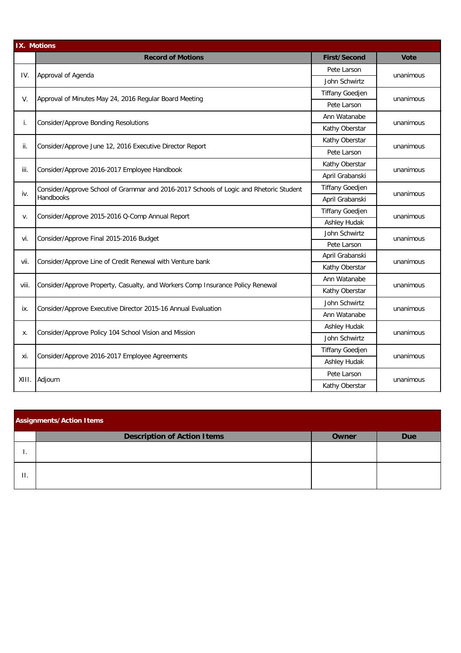| <b>IX. Motions</b> |                                                                                        |                        |             |  |
|--------------------|----------------------------------------------------------------------------------------|------------------------|-------------|--|
|                    | <b>Record of Motions</b>                                                               | <b>First/Second</b>    | <b>Vote</b> |  |
|                    |                                                                                        | Pete Larson            |             |  |
| IV.                | Approval of Agenda                                                                     | John Schwirtz          | unanimous   |  |
|                    |                                                                                        | <b>Tiffany Goedjen</b> |             |  |
| V.                 | Approval of Minutes May 24, 2016 Regular Board Meeting                                 | Pete Larson            | unanimous   |  |
|                    |                                                                                        | Ann Watanabe           |             |  |
| i.                 | Consider/Approve Bonding Resolutions                                                   | Kathy Oberstar         | unanimous   |  |
|                    |                                                                                        | Kathy Oberstar         |             |  |
| ii.                | Consider/Approve June 12, 2016 Executive Director Report                               | Pete Larson            | unanimous   |  |
|                    |                                                                                        | Kathy Oberstar         |             |  |
| iii.               | Consider/Approve 2016-2017 Employee Handbook                                           | April Grabanski        | unanimous   |  |
|                    | Consider/Approve School of Grammar and 2016-2017 Schools of Logic and Rhetoric Student | <b>Tiffany Goedjen</b> |             |  |
| iv.                | Handbooks                                                                              | April Grabanski        | unanimous   |  |
|                    | Consider/Approve 2015-2016 Q-Comp Annual Report                                        | <b>Tiffany Goedjen</b> | unanimous   |  |
| v.                 |                                                                                        | Ashley Hudak           |             |  |
| vi.                | Consider/Approve Final 2015-2016 Budget                                                | John Schwirtz          | unanimous   |  |
|                    |                                                                                        | Pete Larson            |             |  |
| vii.               | Consider/Approve Line of Credit Renewal with Venture bank                              | April Grabanski        | unanimous   |  |
|                    |                                                                                        | Kathy Oberstar         |             |  |
| viii.              | Consider/Approve Property, Casualty, and Workers Comp Insurance Policy Renewal         | Ann Watanabe           | unanimous   |  |
|                    |                                                                                        | Kathy Oberstar         |             |  |
|                    | Consider/Approve Executive Director 2015-16 Annual Evaluation                          | John Schwirtz          |             |  |
| ix.                |                                                                                        | Ann Watanabe           | unanimous   |  |
|                    | Consider/Approve Policy 104 School Vision and Mission                                  | Ashley Hudak           |             |  |
| х.                 |                                                                                        | John Schwirtz          | unanimous   |  |
|                    |                                                                                        | <b>Tiffany Goedjen</b> |             |  |
| xi.                | Consider/Approve 2016-2017 Employee Agreements                                         | Ashley Hudak           | unanimous   |  |
|                    |                                                                                        | Pete Larson            |             |  |
| XIII.              | Adjourn                                                                                | Kathy Oberstar         | unanimous   |  |

| <b>Assignments/Action Items</b> |                                    |       |            |  |  |  |
|---------------------------------|------------------------------------|-------|------------|--|--|--|
|                                 | <b>Description of Action Items</b> | Owner | <b>Due</b> |  |  |  |
|                                 |                                    |       |            |  |  |  |
| $\Pi$ .                         |                                    |       |            |  |  |  |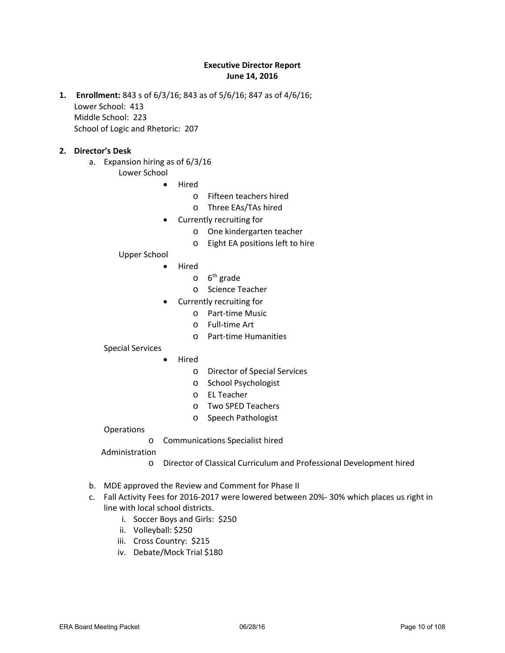### **Executive Director Report June 14, 2016**

**1. Enrollment:** 843 s of 6/3/16; 843 as of 5/6/16; 847 as of 4/6/16; Lower School: 413 Middle School: 223 School of Logic and Rhetoric: 207

#### **2. Director's Desk**

- a. Expansion hiring as of 6/3/16
	- Lower School
		- Hired
			- o Fifteen teachers hired
			- o Three EAs/TAs hired
		- Currently recruiting for
			- o One kindergarten teacher
			- o Eight EA positions left to hire

#### Upper School

- Hired
	- $0<sup>6<sup>th</sup></sup>$  grade
	- o Science Teacher
- Currently recruiting for
	- o Part-time Music
	- o Full-time Art
	- o Part-time Humanities

#### Special Services

- Hired
	- o Director of Special Services
	- o School Psychologist
	- o EL Teacher
	- o Two SPED Teachers
	- o Speech Pathologist

#### **Operations**

o Communications Specialist hired

#### Administration

- o Director of Classical Curriculum and Professional Development hired
- b. MDE approved the Review and Comment for Phase II
- c. Fall Activity Fees for 2016-2017 were lowered between 20%- 30% which places us right in line with local school districts.
	- i. Soccer Boys and Girls: \$250
	- ii. Volleyball: \$250
	- iii. Cross Country: \$215
	- iv. Debate/Mock Trial \$180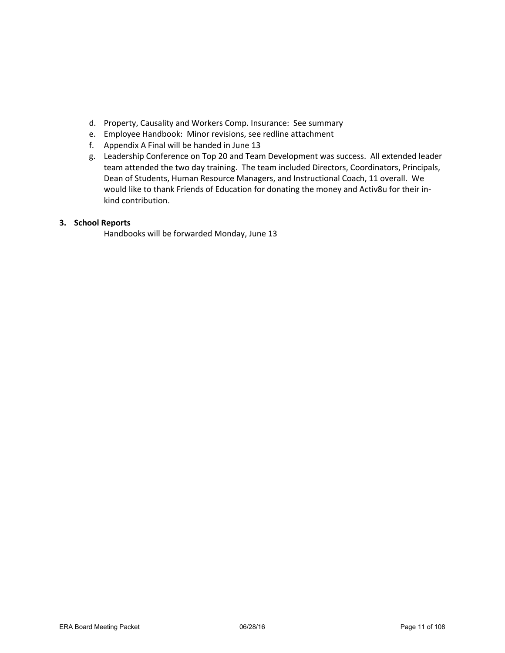- d. Property, Causality and Workers Comp. Insurance: See summary
- e. Employee Handbook: Minor revisions, see redline attachment
- f. Appendix A Final will be handed in June 13
- g. Leadership Conference on Top 20 and Team Development was success. All extended leader team attended the two day training. The team included Directors, Coordinators, Principals, Dean of Students, Human Resource Managers, and Instructional Coach, 11 overall. We would like to thank Friends of Education for donating the money and Activ8u for their inkind contribution.

### **3. School Reports**

Handbooks will be forwarded Monday, June 13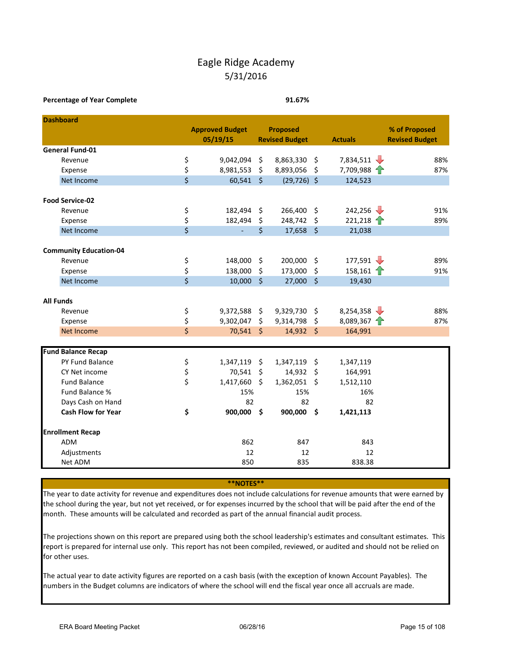## Eagle Ridge Academy 5/31/2016

#### **Percentage of Year Complete 91.67%**

| <b>Dashboard</b>                             |          |                        |                           |                       |               |                                |                       |
|----------------------------------------------|----------|------------------------|---------------------------|-----------------------|---------------|--------------------------------|-----------------------|
|                                              |          | <b>Approved Budget</b> | <b>Proposed</b>           |                       |               |                                | % of Proposed         |
|                                              |          | 05/19/15               |                           | <b>Revised Budget</b> |               | <b>Actuals</b>                 | <b>Revised Budget</b> |
| <b>General Fund-01</b>                       |          |                        |                           |                       |               |                                |                       |
| Revenue                                      | \$       | 9,042,094              | \$                        | 8,863,330             | \$            | 7,834,511 $\sqrt{\phantom{0}}$ | 88%                   |
| Expense                                      | \$       | 8,981,553              | \$                        | 8,893,056             | \$            | $7,709,988$ $\uparrow$         | 87%                   |
| Net Income                                   | \$       | 60,541                 | $\zeta$                   | $(29, 726)$ \$        |               | 124,523                        |                       |
| <b>Food Service-02</b>                       |          |                        |                           |                       |               |                                |                       |
| Revenue                                      | \$       | 182,494                | \$                        | 266,400               | \$            | 242,256                        | 91%                   |
| Expense                                      | \$       | 182,494                | \$                        | 248,742               | \$            | $221,218$ 1                    | 89%                   |
| Net Income                                   | \$       |                        | \$                        | 17,658                | $\zeta$       | 21,038                         |                       |
|                                              |          |                        |                           |                       |               |                                |                       |
| <b>Community Education-04</b>                |          |                        |                           |                       |               | 177,591                        | 89%                   |
| Revenue                                      | \$<br>\$ | 148,000                | \$                        | 200,000               | \$            |                                |                       |
| Expense<br>Net Income                        | \$       | 138,000<br>10,000      | \$<br>$\ddot{\mathsf{s}}$ | 173,000<br>27,000     | \$<br>$\zeta$ | 158,161 $\uparrow$<br>19,430   | 91%                   |
|                                              |          |                        |                           |                       |               |                                |                       |
| <b>All Funds</b>                             |          |                        |                           |                       |               |                                |                       |
| Revenue                                      | \$       | 9,372,588              | \$                        | 9,329,730             | \$            | 8,254,358 $\sqrt{\phantom{0}}$ | 88%                   |
| Expense                                      | \$       | 9,302,047              | $\zeta$                   | 9,314,798             | \$            | 8,089,367 $\uparrow$           | 87%                   |
| Net Income                                   | \$       | 70,541 \$              |                           | 14,932 \$             |               | 164,991                        |                       |
|                                              |          |                        |                           |                       |               |                                |                       |
| <b>Fund Balance Recap</b><br>PY Fund Balance |          | 1,347,119              | $\zeta$                   | 1,347,119             | \$            |                                |                       |
| CY Net income                                | \$       | 70,541                 | $\zeta$                   | 14,932                | \$            | 1,347,119<br>164,991           |                       |
| <b>Fund Balance</b>                          | \$<br>\$ | 1,417,660              | $\ddot{\mathsf{s}}$       | 1,362,051             | \$            | 1,512,110                      |                       |
| Fund Balance %                               |          | 15%                    |                           | 15%                   |               | 16%                            |                       |
| Days Cash on Hand                            |          | 82                     |                           | 82                    |               | 82                             |                       |
| <b>Cash Flow for Year</b>                    | \$       | 900,000 \$             |                           | 900,000               | \$            | 1,421,113                      |                       |
|                                              |          |                        |                           |                       |               |                                |                       |
| <b>Enrollment Recap</b>                      |          |                        |                           |                       |               |                                |                       |
| ADM                                          |          | 862                    |                           | 847                   |               | 843                            |                       |
| Adjustments                                  |          | 12                     |                           | 12                    |               | 12                             |                       |
| Net ADM                                      |          | 850                    |                           | 835                   |               | 838.38                         |                       |

**\*\*NOTES\*\***

The year to date activity for revenue and expenditures does not include calculations for revenue amounts that were earned by the school during the year, but not yet received, or for expenses incurred by the school that will be paid after the end of the month. These amounts will be calculated and recorded as part of the annual financial audit process.

The projections shown on this report are prepared using both the school leadership's estimates and consultant estimates. This report is prepared for internal use only. This report has not been compiled, reviewed, or audited and should not be relied on for other uses.

The actual year to date activity figures are reported on a cash basis (with the exception of known Account Payables). The numbers in the Budget columns are indicators of where the school will end the fiscal year once all accruals are made.